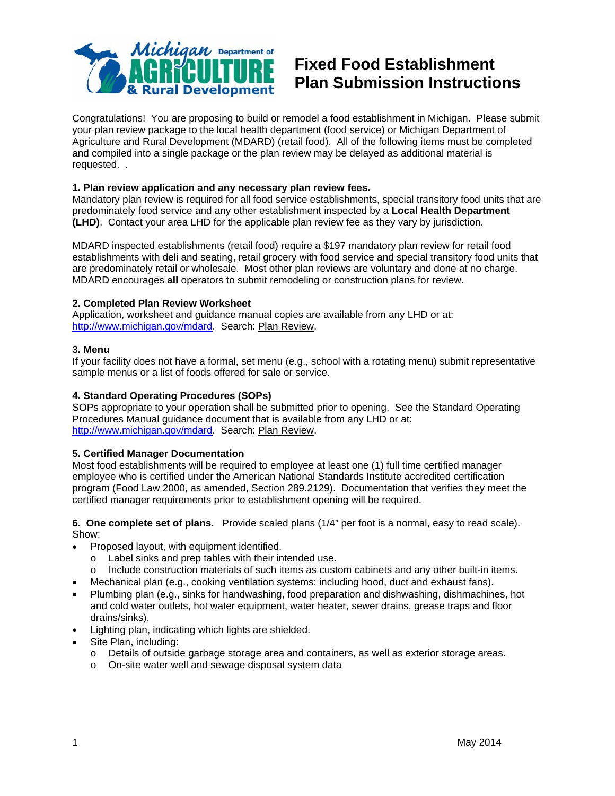

# **Fixed Food Establishment Plan Submission Instructions**

Congratulations! You are proposing to build or remodel a food establishment in Michigan. Please submit your plan review package to the local health department (food service) or Michigan Department of Agriculture and Rural Development (MDARD) (retail food). All of the following items must be completed and compiled into a single package or the plan review may be delayed as additional material is requested. .

### **1. Plan review application and any necessary plan review fees.**

Mandatory plan review is required for all food service establishments, special transitory food units that are predominately food service and any other establishment inspected by a **Local Health Department (LHD)**. Contact your area LHD for the applicable plan review fee as they vary by jurisdiction.

MDARD inspected establishments (retail food) require a \$197 mandatory plan review for retail food establishments with deli and seating, retail grocery with food service and special transitory food units that are predominately retail or wholesale. Most other plan reviews are voluntary and done at no charge. MDARD encourages **all** operators to submit remodeling or construction plans for review.

### **2. Completed Plan Review Worksheet**

Application, worksheet and guidance manual copies are available from any LHD or at: http://www.michigan.gov/mdard. Search: Plan Review.

#### **3. Menu**

If your facility does not have a formal, set menu (e.g., school with a rotating menu) submit representative sample menus or a list of foods offered for sale or service.

#### **4. Standard Operating Procedures (SOPs)**

SOPs appropriate to your operation shall be submitted prior to opening. See the Standard Operating Procedures Manual guidance document that is available from any LHD or at: http://www.michigan.gov/mdard. Search: Plan Review.

#### **5. Certified Manager Documentation**

Most food establishments will be required to employee at least one (1) full time certified manager employee who is certified under the American National Standards Institute accredited certification program (Food Law 2000, as amended, Section 289.2129). Documentation that verifies they meet the certified manager requirements prior to establishment opening will be required.

**6. One complete set of plans.** Provide scaled plans (1/4" per foot is a normal, easy to read scale). Show:

- Proposed layout, with equipment identified.
	- o Label sinks and prep tables with their intended use.
	- $\circ$  Include construction materials of such items as custom cabinets and any other built-in items.
- Mechanical plan (e.g., cooking ventilation systems: including hood, duct and exhaust fans).
- Plumbing plan (e.g., sinks for handwashing, food preparation and dishwashing, dishmachines, hot and cold water outlets, hot water equipment, water heater, sewer drains, grease traps and floor drains/sinks).
- Lighting plan, indicating which lights are shielded.
- Site Plan, including:
	- o Details of outside garbage storage area and containers, as well as exterior storage areas.
	- o On-site water well and sewage disposal system data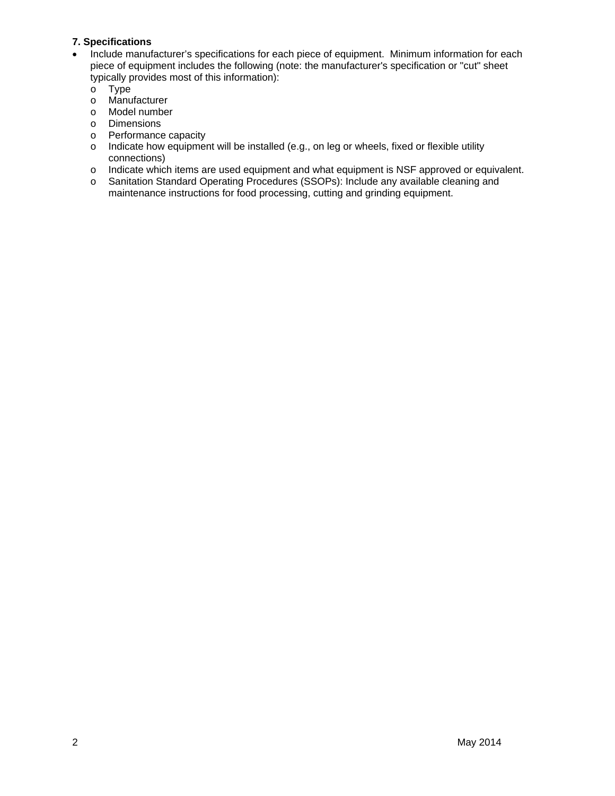## **7. Specifications**

- Include manufacturer's specifications for each piece of equipment. Minimum information for each piece of equipment includes the following (note: the manufacturer's specification or "cut" sheet typically provides most of this information):
	- o Type
	- o Manufacturer
	- o Model number
	- o Dimensions
	- o Performance capacity
	- $\circ$  Indicate how equipment will be installed (e.g., on leg or wheels, fixed or flexible utility connections)
	- o Indicate which items are used equipment and what equipment is NSF approved or equivalent.
	- o Sanitation Standard Operating Procedures (SSOPs): Include any available cleaning and maintenance instructions for food processing, cutting and grinding equipment.